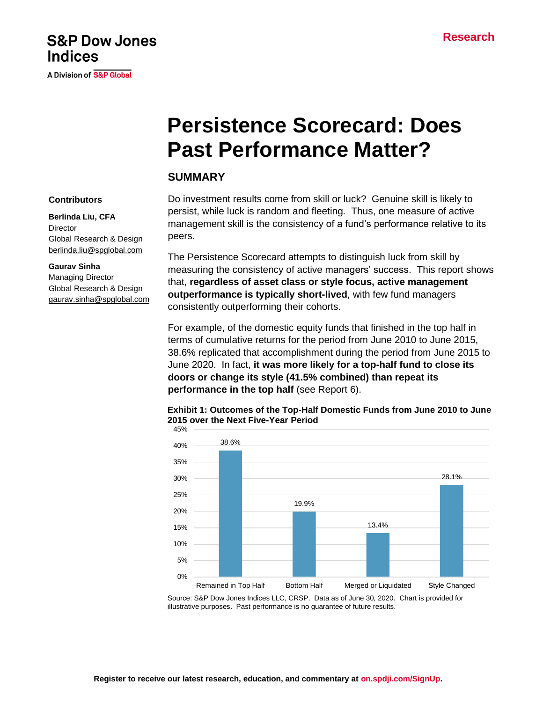# **S&P Dow Jones Indices**

A Division of S&P Global

# **Persistence Scorecard: Does Past Performance Matter?**

# **SUMMARY**

Do investment results come from skill or luck? Genuine skill is likely to persist, while luck is random and fleeting. Thus, one measure of active management skill is the consistency of a fund's performance relative to its peers.

The Persistence Scorecard attempts to distinguish luck from skill by measuring the consistency of active managers' success. This report shows that, **regardless of asset class or style focus, active management outperformance is typically short-lived**, with few fund managers consistently outperforming their cohorts.

For example, of the domestic equity funds that finished in the top half in terms of cumulative returns for the period from June 2010 to June 2015, 38.6% replicated that accomplishment during the period from June 2015 to June 2020. In fact, **it was more likely for a top-half fund to close its doors or change its style (41.5% combined) than repeat its performance in the top half** (see Report 6).





Source: S&P Dow Jones Indices LLC, CRSP. Data as of June 30, 2020. Chart is provided for illustrative purposes. Past performance is no guarantee of future results.

#### **Contributors**

**Berlinda Liu, CFA Director** Global Research & Design [berlinda.liu@spglobal.com](mailto:berlinda.liu@spglobal.com)

#### **Gaurav Sinha**

Managing Director Global Research & Design [gaurav.sinha@spglobal.com](mailto:gaurav.sinha@spglobal.com)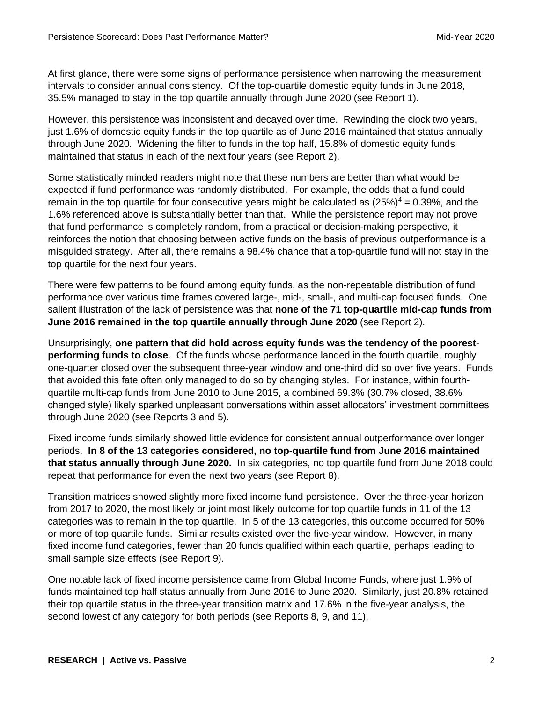At first glance, there were some signs of performance persistence when narrowing the measurement intervals to consider annual consistency. Of the top-quartile domestic equity funds in June 2018, 35.5% managed to stay in the top quartile annually through June 2020 (see Report 1).

However, this persistence was inconsistent and decayed over time. Rewinding the clock two years, just 1.6% of domestic equity funds in the top quartile as of June 2016 maintained that status annually through June 2020. Widening the filter to funds in the top half, 15.8% of domestic equity funds maintained that status in each of the next four years (see Report 2).

Some statistically minded readers might note that these numbers are better than what would be expected if fund performance was randomly distributed. For example, the odds that a fund could remain in the top quartile for four consecutive years might be calculated as  $(25%)^4 = 0.39%$ , and the 1.6% referenced above is substantially better than that. While the persistence report may not prove that fund performance is completely random, from a practical or decision-making perspective, it reinforces the notion that choosing between active funds on the basis of previous outperformance is a misguided strategy. After all, there remains a 98.4% chance that a top-quartile fund will not stay in the top quartile for the next four years.

There were few patterns to be found among equity funds, as the non-repeatable distribution of fund performance over various time frames covered large-, mid-, small-, and multi-cap focused funds. One salient illustration of the lack of persistence was that **none of the 71 top-quartile mid-cap funds from June 2016 remained in the top quartile annually through June 2020** (see Report 2).

Unsurprisingly, **one pattern that did hold across equity funds was the tendency of the poorestperforming funds to close**. Of the funds whose performance landed in the fourth quartile, roughly one-quarter closed over the subsequent three-year window and one-third did so over five years. Funds that avoided this fate often only managed to do so by changing styles. For instance, within fourthquartile multi-cap funds from June 2010 to June 2015, a combined 69.3% (30.7% closed, 38.6% changed style) likely sparked unpleasant conversations within asset allocators' investment committees through June 2020 (see Reports 3 and 5).

Fixed income funds similarly showed little evidence for consistent annual outperformance over longer periods. **In 8 of the 13 categories considered, no top-quartile fund from June 2016 maintained that status annually through June 2020.** In six categories, no top quartile fund from June 2018 could repeat that performance for even the next two years (see Report 8).

Transition matrices showed slightly more fixed income fund persistence. Over the three-year horizon from 2017 to 2020, the most likely or joint most likely outcome for top quartile funds in 11 of the 13 categories was to remain in the top quartile. In 5 of the 13 categories, this outcome occurred for 50% or more of top quartile funds. Similar results existed over the five-year window. However, in many fixed income fund categories, fewer than 20 funds qualified within each quartile, perhaps leading to small sample size effects (see Report 9).

One notable lack of fixed income persistence came from Global Income Funds, where just 1.9% of funds maintained top half status annually from June 2016 to June 2020. Similarly, just 20.8% retained their top quartile status in the three-year transition matrix and 17.6% in the five-year analysis, the second lowest of any category for both periods (see Reports 8, 9, and 11).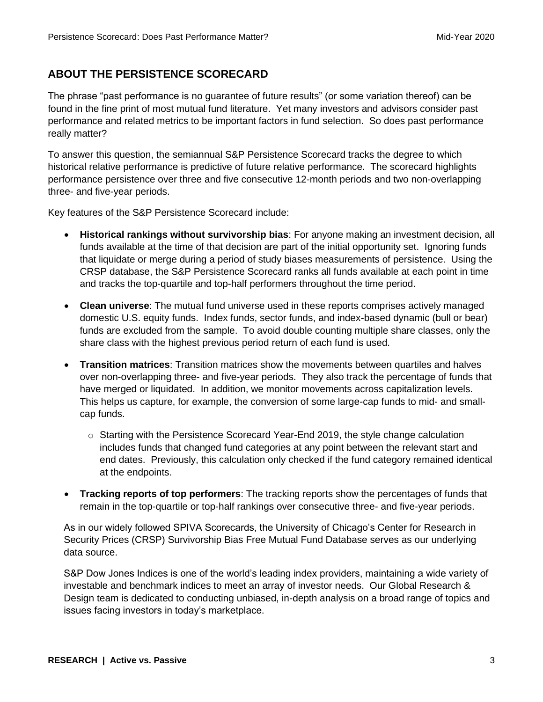# **ABOUT THE PERSISTENCE SCORECARD**

The phrase "past performance is no guarantee of future results" (or some variation thereof) can be found in the fine print of most mutual fund literature. Yet many investors and advisors consider past performance and related metrics to be important factors in fund selection. So does past performance really matter?

To answer this question, the semiannual S&P Persistence Scorecard tracks the degree to which historical relative performance is predictive of future relative performance. The scorecard highlights performance persistence over three and five consecutive 12-month periods and two non-overlapping three- and five-year periods.

Key features of the S&P Persistence Scorecard include:

- **Historical rankings without survivorship bias**: For anyone making an investment decision, all funds available at the time of that decision are part of the initial opportunity set. Ignoring funds that liquidate or merge during a period of study biases measurements of persistence. Using the CRSP database, the S&P Persistence Scorecard ranks all funds available at each point in time and tracks the top-quartile and top-half performers throughout the time period.
- **Clean universe**: The mutual fund universe used in these reports comprises actively managed domestic U.S. equity funds. Index funds, sector funds, and index-based dynamic (bull or bear) funds are excluded from the sample. To avoid double counting multiple share classes, only the share class with the highest previous period return of each fund is used.
- **Transition matrices**: Transition matrices show the movements between quartiles and halves over non-overlapping three- and five-year periods. They also track the percentage of funds that have merged or liquidated. In addition, we monitor movements across capitalization levels. This helps us capture, for example, the conversion of some large-cap funds to mid- and smallcap funds.
	- $\circ$  Starting with the Persistence Scorecard Year-End 2019, the style change calculation includes funds that changed fund categories at any point between the relevant start and end dates. Previously, this calculation only checked if the fund category remained identical at the endpoints.
- **Tracking reports of top performers**: The tracking reports show the percentages of funds that remain in the top-quartile or top-half rankings over consecutive three- and five-year periods.

As in our widely followed SPIVA Scorecards, the University of Chicago's Center for Research in Security Prices (CRSP) Survivorship Bias Free Mutual Fund Database serves as our underlying data source.

S&P Dow Jones Indices is one of the world's leading index providers, maintaining a wide variety of investable and benchmark indices to meet an array of investor needs. Our Global Research & Design team is dedicated to conducting unbiased, in-depth analysis on a broad range of topics and issues facing investors in today's marketplace.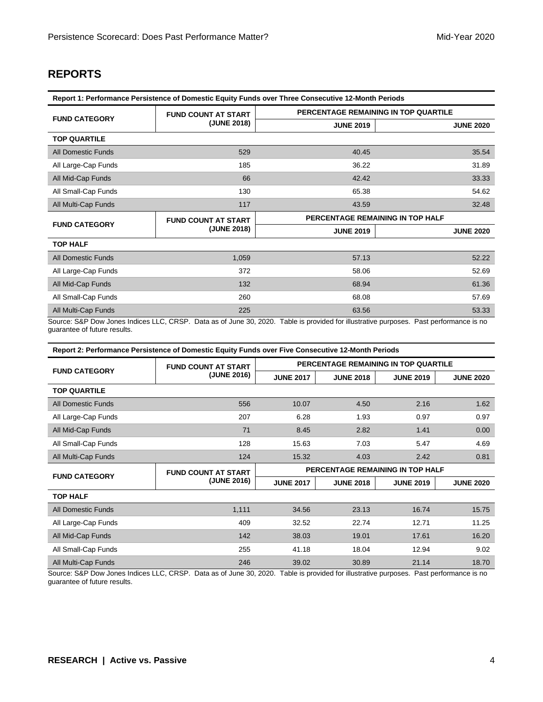# **REPORTS**

| Report 1: Performance Persistence of Domestic Equity Funds over Three Consecutive 12-Month Periods |                            |                                                                                                                                        |                  |  |  |  |  |
|----------------------------------------------------------------------------------------------------|----------------------------|----------------------------------------------------------------------------------------------------------------------------------------|------------------|--|--|--|--|
| <b>FUND CATEGORY</b>                                                                               | <b>FUND COUNT AT START</b> | PERCENTAGE REMAINING IN TOP QUARTILE                                                                                                   |                  |  |  |  |  |
|                                                                                                    | (JUNE 2018)                | <b>JUNE 2019</b>                                                                                                                       | <b>JUNE 2020</b> |  |  |  |  |
| <b>TOP QUARTILE</b>                                                                                |                            |                                                                                                                                        |                  |  |  |  |  |
| <b>All Domestic Funds</b>                                                                          | 529                        | 40.45                                                                                                                                  | 35.54            |  |  |  |  |
| All Large-Cap Funds                                                                                | 185                        | 36.22                                                                                                                                  | 31.89            |  |  |  |  |
| All Mid-Cap Funds                                                                                  | 66                         | 42.42                                                                                                                                  | 33.33            |  |  |  |  |
| All Small-Cap Funds                                                                                | 130                        | 65.38                                                                                                                                  | 54.62            |  |  |  |  |
| All Multi-Cap Funds                                                                                | 117                        | 43.59                                                                                                                                  | 32.48            |  |  |  |  |
| <b>FUND CATEGORY</b>                                                                               | <b>FUND COUNT AT START</b> | PERCENTAGE REMAINING IN TOP HALF                                                                                                       |                  |  |  |  |  |
|                                                                                                    | (JUNE 2018)                | <b>JUNE 2019</b>                                                                                                                       | <b>JUNE 2020</b> |  |  |  |  |
| <b>TOP HALF</b>                                                                                    |                            |                                                                                                                                        |                  |  |  |  |  |
| <b>All Domestic Funds</b>                                                                          | 1,059                      | 57.13                                                                                                                                  | 52.22            |  |  |  |  |
| All Large-Cap Funds                                                                                | 372                        | 58.06                                                                                                                                  | 52.69            |  |  |  |  |
| All Mid-Cap Funds                                                                                  | 132                        | 68.94                                                                                                                                  | 61.36            |  |  |  |  |
| All Small-Cap Funds                                                                                | 260                        | 68.08                                                                                                                                  | 57.69            |  |  |  |  |
| All Multi-Cap Funds                                                                                | 225                        | 63.56                                                                                                                                  | 53.33            |  |  |  |  |
|                                                                                                    |                            | Source: S&P Dow Jones Indices LLC, CRSP. Data as of June 30, 2020. Table is provided for illustrative purposes. Past performance is no |                  |  |  |  |  |

Source: S&P Dow Jones Indices LLC, CRSP. Data as of June 30, 2020. Table is provided for illustrative purposes. Past performance is no guarantee of future results.

| <b>FUND CATEGORY</b>      | <b>FUND COUNT AT START</b> | PERCENTAGE REMAINING IN TOP QUARTILE |                  |                  |                  |  |
|---------------------------|----------------------------|--------------------------------------|------------------|------------------|------------------|--|
|                           | (JUNE 2016)                | <b>JUNE 2017</b>                     | <b>JUNE 2018</b> | <b>JUNE 2019</b> | <b>JUNE 2020</b> |  |
| <b>TOP QUARTILE</b>       |                            |                                      |                  |                  |                  |  |
| <b>All Domestic Funds</b> | 556                        | 10.07                                | 4.50             | 2.16             | 1.62             |  |
| All Large-Cap Funds       | 207                        | 6.28                                 | 1.93             | 0.97             | 0.97             |  |
| All Mid-Cap Funds         | 71                         | 8.45                                 | 2.82             | 1.41             | 0.00             |  |
| All Small-Cap Funds       | 128                        | 15.63                                | 7.03             | 5.47             | 4.69             |  |
| All Multi-Cap Funds       | 124                        | 15.32                                | 4.03             | 2.42             | 0.81             |  |
| <b>FUND CATEGORY</b>      | <b>FUND COUNT AT START</b> | PERCENTAGE REMAINING IN TOP HALF     |                  |                  |                  |  |
|                           | (JUNE 2016)                | <b>JUNE 2017</b>                     | <b>JUNE 2018</b> | <b>JUNE 2019</b> | <b>JUNE 2020</b> |  |
| <b>TOP HALF</b>           |                            |                                      |                  |                  |                  |  |
| <b>All Domestic Funds</b> | 1,111                      | 34.56                                | 23.13            | 16.74            | 15.75            |  |
| All Large-Cap Funds       | 409                        | 32.52                                | 22.74            | 12.71            | 11.25            |  |
| All Mid-Cap Funds         | 142                        | 38.03                                | 19.01            | 17.61            | 16.20            |  |
| All Small-Cap Funds       | 255                        | 41.18                                | 18.04            | 12.94            | 9.02             |  |
| All Multi-Cap Funds       | 246                        | 39.02                                | 30.89            | 21.14            | 18.70            |  |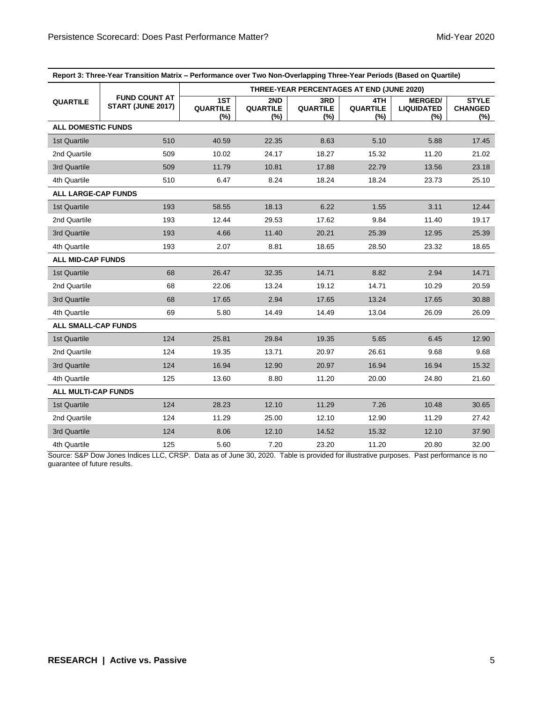| Report 3: Three-Year Transition Matrix – Performance over Two Non-Overlapping Three-Year Periods (Based on Quartile) |                                           |                               |                               |                               |                                           |                                            |                                       |
|----------------------------------------------------------------------------------------------------------------------|-------------------------------------------|-------------------------------|-------------------------------|-------------------------------|-------------------------------------------|--------------------------------------------|---------------------------------------|
|                                                                                                                      |                                           |                               |                               |                               | THREE-YEAR PERCENTAGES AT END (JUNE 2020) |                                            |                                       |
| <b>QUARTILE</b>                                                                                                      | <b>FUND COUNT AT</b><br>START (JUNE 2017) | 1ST<br><b>QUARTILE</b><br>(%) | 2ND<br><b>QUARTILE</b><br>(%) | 3RD<br><b>QUARTILE</b><br>(%) | 4TH<br><b>QUARTILE</b><br>(%)             | <b>MERGED/</b><br><b>LIQUIDATED</b><br>(%) | <b>STYLE</b><br><b>CHANGED</b><br>(%) |
| <b>ALL DOMESTIC FUNDS</b>                                                                                            |                                           |                               |                               |                               |                                           |                                            |                                       |
| 1st Quartile                                                                                                         | 510                                       | 40.59                         | 22.35                         | 8.63                          | 5.10                                      | 5.88                                       | 17.45                                 |
| 2nd Quartile                                                                                                         | 509                                       | 10.02                         | 24.17                         | 18.27                         | 15.32                                     | 11.20                                      | 21.02                                 |
| 3rd Quartile                                                                                                         | 509                                       | 11.79                         | 10.81                         | 17.88                         | 22.79                                     | 13.56                                      | 23.18                                 |
| 4th Quartile                                                                                                         | 510                                       | 6.47                          | 8.24                          | 18.24                         | 18.24                                     | 23.73                                      | 25.10                                 |
| <b>ALL LARGE-CAP FUNDS</b>                                                                                           |                                           |                               |                               |                               |                                           |                                            |                                       |
| 1st Quartile                                                                                                         | 193                                       | 58.55                         | 18.13                         | 6.22                          | 1.55                                      | 3.11                                       | 12.44                                 |
| 2nd Quartile                                                                                                         | 193                                       | 12.44                         | 29.53                         | 17.62                         | 9.84                                      | 11.40                                      | 19.17                                 |
| 3rd Quartile                                                                                                         | 193                                       | 4.66                          | 11.40                         | 20.21                         | 25.39                                     | 12.95                                      | 25.39                                 |
| 4th Quartile                                                                                                         | 193                                       | 2.07                          | 8.81                          | 18.65                         | 28.50                                     | 23.32                                      | 18.65                                 |
| <b>ALL MID-CAP FUNDS</b>                                                                                             |                                           |                               |                               |                               |                                           |                                            |                                       |
| 1st Quartile                                                                                                         | 68                                        | 26.47                         | 32.35                         | 14.71                         | 8.82                                      | 2.94                                       | 14.71                                 |
| 2nd Quartile                                                                                                         | 68                                        | 22.06                         | 13.24                         | 19.12                         | 14.71                                     | 10.29                                      | 20.59                                 |
| 3rd Quartile                                                                                                         | 68                                        | 17.65                         | 2.94                          | 17.65                         | 13.24                                     | 17.65                                      | 30.88                                 |
| 4th Quartile                                                                                                         | 69                                        | 5.80                          | 14.49                         | 14.49                         | 13.04                                     | 26.09                                      | 26.09                                 |
| <b>ALL SMALL-CAP FUNDS</b>                                                                                           |                                           |                               |                               |                               |                                           |                                            |                                       |
| 1st Quartile                                                                                                         | 124                                       | 25.81                         | 29.84                         | 19.35                         | 5.65                                      | 6.45                                       | 12.90                                 |
| 2nd Quartile                                                                                                         | 124                                       | 19.35                         | 13.71                         | 20.97                         | 26.61                                     | 9.68                                       | 9.68                                  |
| 3rd Quartile                                                                                                         | 124                                       | 16.94                         | 12.90                         | 20.97                         | 16.94                                     | 16.94                                      | 15.32                                 |
| 4th Quartile                                                                                                         | 125                                       | 13.60                         | 8.80                          | 11.20                         | 20.00                                     | 24.80                                      | 21.60                                 |
| ALL MULTI-CAP FUNDS                                                                                                  |                                           |                               |                               |                               |                                           |                                            |                                       |
| 1st Quartile                                                                                                         | 124                                       | 28.23                         | 12.10                         | 11.29                         | 7.26                                      | 10.48                                      | 30.65                                 |
| 2nd Quartile                                                                                                         | 124                                       | 11.29                         | 25.00                         | 12.10                         | 12.90                                     | 11.29                                      | 27.42                                 |
| 3rd Quartile                                                                                                         | 124                                       | 8.06                          | 12.10                         | 14.52                         | 15.32                                     | 12.10                                      | 37.90                                 |
| 4th Quartile                                                                                                         | 125                                       | 5.60                          | 7.20                          | 23.20                         | 11.20                                     | 20.80                                      | 32.00                                 |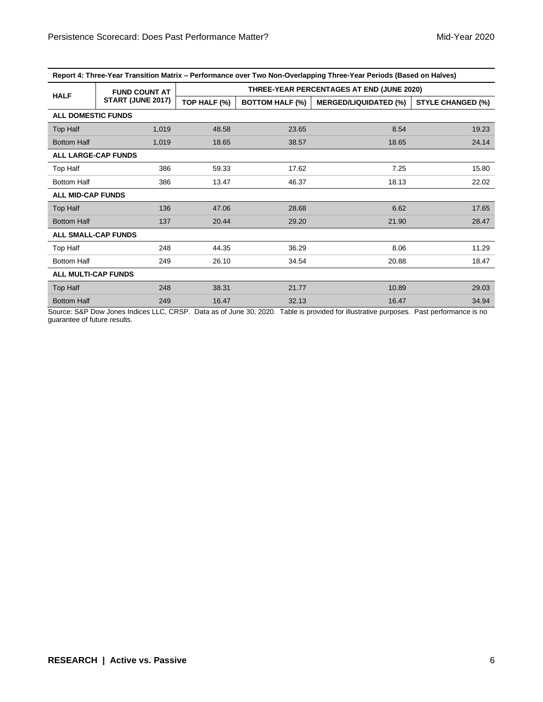| Report 4: Three-Year Transition Matrix – Performance over Two Non-Overlapping Three-Year Periods (Based on Halves) |  |  |
|--------------------------------------------------------------------------------------------------------------------|--|--|
|                                                                                                                    |  |  |

|                            | <b>FUND COUNT AT</b> |              |                        | THREE-YEAR PERCENTAGES AT END (JUNE 2020) |                          |  |  |  |
|----------------------------|----------------------|--------------|------------------------|-------------------------------------------|--------------------------|--|--|--|
| <b>HALF</b>                | START (JUNE 2017)    | TOP HALF (%) | <b>BOTTOM HALF (%)</b> | <b>MERGED/LIQUIDATED (%)</b>              | <b>STYLE CHANGED (%)</b> |  |  |  |
| <b>ALL DOMESTIC FUNDS</b>  |                      |              |                        |                                           |                          |  |  |  |
| Top Half                   | 1,019                | 48.58        | 23.65                  | 8.54                                      | 19.23                    |  |  |  |
| <b>Bottom Half</b>         | 1,019                | 18.65        | 38.57                  | 18.65                                     | 24.14                    |  |  |  |
| <b>ALL LARGE-CAP FUNDS</b> |                      |              |                        |                                           |                          |  |  |  |
| Top Half                   | 386                  | 59.33        | 17.62                  | 7.25                                      | 15.80                    |  |  |  |
| <b>Bottom Half</b>         | 386                  | 13.47        | 46.37                  | 18.13                                     | 22.02                    |  |  |  |
| <b>ALL MID-CAP FUNDS</b>   |                      |              |                        |                                           |                          |  |  |  |
| Top Half                   | 136                  | 47.06        | 28.68                  | 6.62                                      | 17.65                    |  |  |  |
| <b>Bottom Half</b>         | 137                  | 20.44        | 29.20                  | 21.90                                     | 28.47                    |  |  |  |
| <b>ALL SMALL-CAP FUNDS</b> |                      |              |                        |                                           |                          |  |  |  |
| Top Half                   | 248                  | 44.35        | 36.29                  | 8.06                                      | 11.29                    |  |  |  |
| <b>Bottom Half</b>         | 249                  | 26.10        | 34.54                  | 20.88                                     | 18.47                    |  |  |  |
| <b>ALL MULTI-CAP FUNDS</b> |                      |              |                        |                                           |                          |  |  |  |
| Top Half                   | 248                  | 38.31        | 21.77                  | 10.89                                     | 29.03                    |  |  |  |
| <b>Bottom Half</b>         | 249                  | 16.47        | 32.13                  | 16.47                                     | 34.94                    |  |  |  |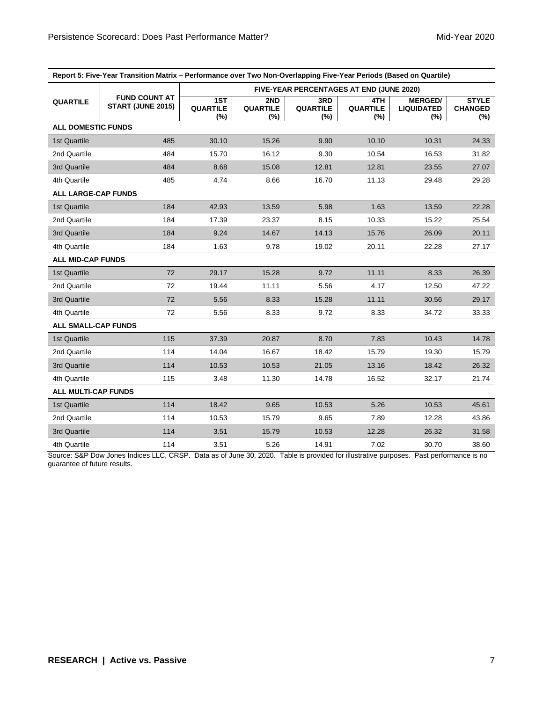| Report 5: Five-Year Transition Matrix - Performance over Two Non-Overlapping Five-Year Periods (Based on Quartile) |                                           |                               |                               |                            |                                                 |                                            |                                       |  |
|--------------------------------------------------------------------------------------------------------------------|-------------------------------------------|-------------------------------|-------------------------------|----------------------------|-------------------------------------------------|--------------------------------------------|---------------------------------------|--|
|                                                                                                                    |                                           |                               |                               |                            | <b>FIVE-YEAR PERCENTAGES AT END (JUNE 2020)</b> |                                            |                                       |  |
| <b>QUARTILE</b>                                                                                                    | <b>FUND COUNT AT</b><br>START (JUNE 2015) | 1ST<br><b>QUARTILE</b><br>(%) | 2ND<br><b>QUARTILE</b><br>(%) | 3RD<br>QUARTILE<br>$(\% )$ | 4TH.<br><b>QUARTILE</b><br>(%)                  | <b>MERGED/</b><br><b>LIQUIDATED</b><br>(%) | <b>STYLE</b><br><b>CHANGED</b><br>(%) |  |
| <b>ALL DOMESTIC FUNDS</b>                                                                                          |                                           |                               |                               |                            |                                                 |                                            |                                       |  |
| 1st Quartile                                                                                                       | 485                                       | 30.10                         | 15.26                         | 9.90                       | 10.10                                           | 10.31                                      | 24.33                                 |  |
| 2nd Quartile                                                                                                       | 484                                       | 15.70                         | 16.12                         | 9.30                       | 10.54                                           | 16.53                                      | 31.82                                 |  |
| 3rd Quartile                                                                                                       | 484                                       | 8.68                          | 15.08                         | 12.81                      | 12.81                                           | 23.55                                      | 27.07                                 |  |
| 4th Quartile                                                                                                       | 485                                       | 4.74                          | 8.66                          | 16.70                      | 11.13                                           | 29.48                                      | 29.28                                 |  |
| <b>ALL LARGE-CAP FUNDS</b>                                                                                         |                                           |                               |                               |                            |                                                 |                                            |                                       |  |
| 1st Quartile                                                                                                       | 184                                       | 42.93                         | 13.59                         | 5.98                       | 1.63                                            | 13.59                                      | 22.28                                 |  |
| 2nd Quartile                                                                                                       | 184                                       | 17.39                         | 23.37                         | 8.15                       | 10.33                                           | 15.22                                      | 25.54                                 |  |
| 3rd Quartile                                                                                                       | 184                                       | 9.24                          | 14.67                         | 14.13                      | 15.76                                           | 26.09                                      | 20.11                                 |  |
| 4th Quartile                                                                                                       | 184                                       | 1.63                          | 9.78                          | 19.02                      | 20.11                                           | 22.28                                      | 27.17                                 |  |
| <b>ALL MID-CAP FUNDS</b>                                                                                           |                                           |                               |                               |                            |                                                 |                                            |                                       |  |
| 1st Quartile                                                                                                       | 72                                        | 29.17                         | 15.28                         | 9.72                       | 11.11                                           | 8.33                                       | 26.39                                 |  |
| 2nd Quartile                                                                                                       | 72                                        | 19.44                         | 11.11                         | 5.56                       | 4.17                                            | 12.50                                      | 47.22                                 |  |
| 3rd Quartile                                                                                                       | 72                                        | 5.56                          | 8.33                          | 15.28                      | 11.11                                           | 30.56                                      | 29.17                                 |  |
| 4th Quartile                                                                                                       | 72                                        | 5.56                          | 8.33                          | 9.72                       | 8.33                                            | 34.72                                      | 33.33                                 |  |
| <b>ALL SMALL-CAP FUNDS</b>                                                                                         |                                           |                               |                               |                            |                                                 |                                            |                                       |  |
| 1st Quartile                                                                                                       | 115                                       | 37.39                         | 20.87                         | 8.70                       | 7.83                                            | 10.43                                      | 14.78                                 |  |
| 2nd Quartile                                                                                                       | 114                                       | 14.04                         | 16.67                         | 18.42                      | 15.79                                           | 19.30                                      | 15.79                                 |  |
| 3rd Quartile                                                                                                       | 114                                       | 10.53                         | 10.53                         | 21.05                      | 13.16                                           | 18.42                                      | 26.32                                 |  |
| 4th Quartile                                                                                                       | 115                                       | 3.48                          | 11.30                         | 14.78                      | 16.52                                           | 32.17                                      | 21.74                                 |  |
| <b>ALL MULTI-CAP FUNDS</b>                                                                                         |                                           |                               |                               |                            |                                                 |                                            |                                       |  |
| 1st Quartile                                                                                                       | 114                                       | 18.42                         | 9.65                          | 10.53                      | 5.26                                            | 10.53                                      | 45.61                                 |  |
| 2nd Quartile                                                                                                       | 114                                       | 10.53                         | 15.79                         | 9.65                       | 7.89                                            | 12.28                                      | 43.86                                 |  |
| 3rd Quartile                                                                                                       | 114                                       | 3.51                          | 15.79                         | 10.53                      | 12.28                                           | 26.32                                      | 31.58                                 |  |
| 4th Quartile                                                                                                       | 114                                       | 3.51                          | 5.26                          | 14.91                      | 7.02                                            | 30.70                                      | 38.60                                 |  |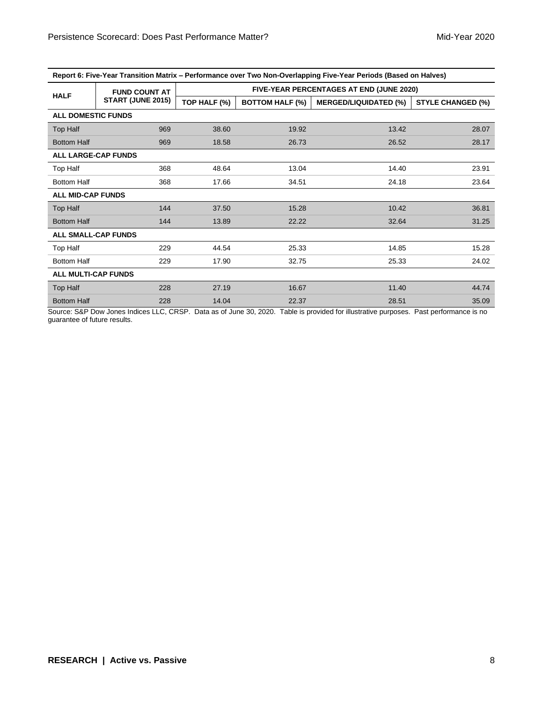| Report 6: Five-Year Transition Matrix – Performance over Two Non-Overlapping Five-Year Periods (Based on Halves) |                      |              |                        |                                          |                          |  |  |  |
|------------------------------------------------------------------------------------------------------------------|----------------------|--------------|------------------------|------------------------------------------|--------------------------|--|--|--|
|                                                                                                                  | <b>FUND COUNT AT</b> |              |                        | FIVE-YEAR PERCENTAGES AT END (JUNE 2020) |                          |  |  |  |
| <b>HALF</b>                                                                                                      | START (JUNE 2015)    | TOP HALF (%) | <b>BOTTOM HALF (%)</b> | <b>MERGED/LIQUIDATED (%)</b>             | <b>STYLE CHANGED (%)</b> |  |  |  |
| <b>ALL DOMESTIC FUNDS</b>                                                                                        |                      |              |                        |                                          |                          |  |  |  |
| Top Half                                                                                                         | 969                  | 38.60        | 19.92                  | 13.42                                    | 28.07                    |  |  |  |
| <b>Bottom Half</b>                                                                                               | 969                  | 18.58        | 26.73                  | 26.52                                    | 28.17                    |  |  |  |
| <b>ALL LARGE-CAP FUNDS</b>                                                                                       |                      |              |                        |                                          |                          |  |  |  |
| Top Half                                                                                                         | 368                  | 48.64        | 13.04                  | 14.40                                    | 23.91                    |  |  |  |
| <b>Bottom Half</b>                                                                                               | 368                  | 17.66        | 34.51                  | 24.18                                    | 23.64                    |  |  |  |
| <b>ALL MID-CAP FUNDS</b>                                                                                         |                      |              |                        |                                          |                          |  |  |  |
| Top Half                                                                                                         | 144                  | 37.50        | 15.28                  | 10.42                                    | 36.81                    |  |  |  |
| <b>Bottom Half</b>                                                                                               | 144                  | 13.89        | 22.22                  | 32.64                                    | 31.25                    |  |  |  |
| <b>ALL SMALL-CAP FUNDS</b>                                                                                       |                      |              |                        |                                          |                          |  |  |  |
| Top Half                                                                                                         | 229                  | 44.54        | 25.33                  | 14.85                                    | 15.28                    |  |  |  |
| <b>Bottom Half</b>                                                                                               | 229                  | 17.90        | 32.75                  | 25.33                                    | 24.02                    |  |  |  |
| <b>ALL MULTI-CAP FUNDS</b>                                                                                       |                      |              |                        |                                          |                          |  |  |  |
| Top Half                                                                                                         | 228                  | 27.19        | 16.67                  | 11.40                                    | 44.74                    |  |  |  |
| <b>Bottom Half</b>                                                                                               | 228                  | 14.04        | 22.37                  | 28.51                                    | 35.09                    |  |  |  |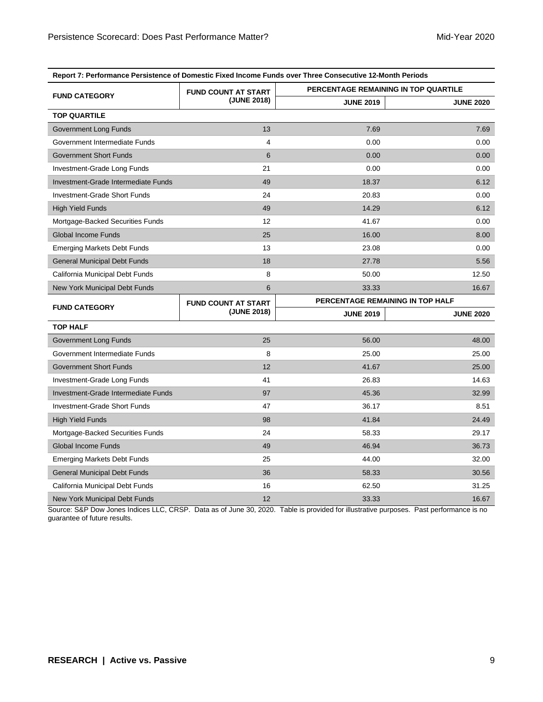| Report 7: Performance Persistence of Domestic Fixed Income Funds over Three Consecutive 12-Month Periods |                            |                                  |                                      |  |  |  |  |  |
|----------------------------------------------------------------------------------------------------------|----------------------------|----------------------------------|--------------------------------------|--|--|--|--|--|
|                                                                                                          | <b>FUND COUNT AT START</b> |                                  | PERCENTAGE REMAINING IN TOP QUARTILE |  |  |  |  |  |
| <b>FUND CATEGORY</b>                                                                                     | (JUNE 2018)                | <b>JUNE 2019</b>                 | <b>JUNE 2020</b>                     |  |  |  |  |  |
| <b>TOP QUARTILE</b>                                                                                      |                            |                                  |                                      |  |  |  |  |  |
| Government Long Funds                                                                                    | 13                         | 7.69                             | 7.69                                 |  |  |  |  |  |
| Government Intermediate Funds                                                                            | 4                          | 0.00                             | 0.00                                 |  |  |  |  |  |
| <b>Government Short Funds</b>                                                                            | 6                          | 0.00                             | 0.00                                 |  |  |  |  |  |
| Investment-Grade Long Funds                                                                              | 21                         | 0.00                             | 0.00                                 |  |  |  |  |  |
| Investment-Grade Intermediate Funds                                                                      | 49                         | 18.37                            | 6.12                                 |  |  |  |  |  |
| Investment-Grade Short Funds                                                                             | 24                         | 20.83                            | 0.00                                 |  |  |  |  |  |
| <b>High Yield Funds</b>                                                                                  | 49                         | 14.29                            | 6.12                                 |  |  |  |  |  |
| Mortgage-Backed Securities Funds                                                                         | 12                         | 41.67                            | 0.00                                 |  |  |  |  |  |
| <b>Global Income Funds</b>                                                                               | 25                         | 16.00                            | 8.00                                 |  |  |  |  |  |
| <b>Emerging Markets Debt Funds</b>                                                                       | 13                         | 23.08                            | 0.00                                 |  |  |  |  |  |
| <b>General Municipal Debt Funds</b>                                                                      | 18                         | 27.78                            | 5.56                                 |  |  |  |  |  |
| California Municipal Debt Funds                                                                          | 8                          | 50.00                            | 12.50                                |  |  |  |  |  |
| New York Municipal Debt Funds                                                                            | 6                          | 33.33                            | 16.67                                |  |  |  |  |  |
|                                                                                                          | <b>FUND COUNT AT START</b> | PERCENTAGE REMAINING IN TOP HALF |                                      |  |  |  |  |  |
|                                                                                                          |                            |                                  |                                      |  |  |  |  |  |
| <b>FUND CATEGORY</b>                                                                                     | (JUNE 2018)                | <b>JUNE 2019</b>                 | <b>JUNE 2020</b>                     |  |  |  |  |  |
| <b>TOP HALF</b>                                                                                          |                            |                                  |                                      |  |  |  |  |  |
| Government Long Funds                                                                                    | 25                         | 56.00                            | 48.00                                |  |  |  |  |  |
| Government Intermediate Funds                                                                            | 8                          | 25.00                            | 25.00                                |  |  |  |  |  |
| <b>Government Short Funds</b>                                                                            | 12                         | 41.67                            | 25.00                                |  |  |  |  |  |
| Investment-Grade Long Funds                                                                              | 41                         | 26.83                            | 14.63                                |  |  |  |  |  |
| Investment-Grade Intermediate Funds                                                                      | 97                         | 45.36                            | 32.99                                |  |  |  |  |  |
| Investment-Grade Short Funds                                                                             | 47                         | 36.17                            | 8.51                                 |  |  |  |  |  |
| <b>High Yield Funds</b>                                                                                  | 98                         | 41.84                            | 24.49                                |  |  |  |  |  |
| Mortgage-Backed Securities Funds                                                                         | 24                         | 58.33                            | 29.17                                |  |  |  |  |  |
| <b>Global Income Funds</b>                                                                               | 49                         | 46.94                            | 36.73                                |  |  |  |  |  |
| <b>Emerging Markets Debt Funds</b>                                                                       | 25                         | 44.00                            | 32.00                                |  |  |  |  |  |
| <b>General Municipal Debt Funds</b>                                                                      | 36                         | 58.33                            | 30.56                                |  |  |  |  |  |
| California Municipal Debt Funds                                                                          | 16                         | 62.50                            | 31.25                                |  |  |  |  |  |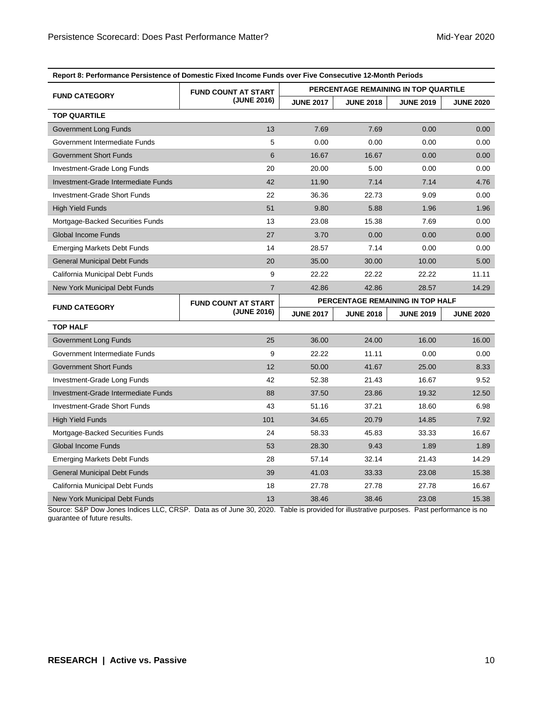|                                     | <b>Craigrence of Domestic Fixed Income Funds over</b> |                                      |                  |                                  |                  |  |  |
|-------------------------------------|-------------------------------------------------------|--------------------------------------|------------------|----------------------------------|------------------|--|--|
|                                     | <b>FUND COUNT AT START</b>                            | PERCENTAGE REMAINING IN TOP QUARTILE |                  |                                  |                  |  |  |
| <b>FUND CATEGORY</b>                | (JUNE 2016)                                           | <b>JUNE 2017</b>                     | <b>JUNE 2018</b> | <b>JUNE 2019</b>                 | <b>JUNE 2020</b> |  |  |
| <b>TOP QUARTILE</b>                 |                                                       |                                      |                  |                                  |                  |  |  |
| Government Long Funds               | 13                                                    | 7.69                                 | 7.69             | 0.00                             | 0.00             |  |  |
| Government Intermediate Funds       | 5                                                     | 0.00                                 | 0.00             | 0.00                             | 0.00             |  |  |
| <b>Government Short Funds</b>       | 6                                                     | 16.67                                | 16.67            | 0.00                             | 0.00             |  |  |
| Investment-Grade Long Funds         | 20                                                    | 20.00                                | 5.00             | 0.00                             | 0.00             |  |  |
| Investment-Grade Intermediate Funds | 42                                                    | 11.90                                | 7.14             | 7.14                             | 4.76             |  |  |
| <b>Investment-Grade Short Funds</b> | 22                                                    | 36.36                                | 22.73            | 9.09                             | 0.00             |  |  |
| <b>High Yield Funds</b>             | 51                                                    | 9.80                                 | 5.88             | 1.96                             | 1.96             |  |  |
| Mortgage-Backed Securities Funds    | 13                                                    | 23.08                                | 15.38            | 7.69                             | 0.00             |  |  |
| Global Income Funds                 | 27                                                    | 3.70                                 | 0.00             | 0.00                             | 0.00             |  |  |
| <b>Emerging Markets Debt Funds</b>  | 14                                                    | 28.57                                | 7.14             | 0.00                             | 0.00             |  |  |
| <b>General Municipal Debt Funds</b> | 20                                                    | 35.00                                | 30.00            | 10.00                            | 5.00             |  |  |
| California Municipal Debt Funds     | 9                                                     | 22.22                                | 22.22            | 22.22                            | 11.11            |  |  |
| New York Municipal Debt Funds       | $\overline{7}$                                        | 42.86                                | 42.86            | 28.57                            | 14.29            |  |  |
| <b>FUND CATEGORY</b>                | <b>FUND COUNT AT START</b>                            |                                      |                  | PERCENTAGE REMAINING IN TOP HALF |                  |  |  |
|                                     | (JUNE 2016)                                           | <b>JUNE 2017</b>                     | <b>JUNE 2018</b> | <b>JUNE 2019</b>                 |                  |  |  |
|                                     |                                                       |                                      |                  |                                  | <b>JUNE 2020</b> |  |  |
| <b>TOP HALF</b>                     |                                                       |                                      |                  |                                  |                  |  |  |
| Government Long Funds               | 25                                                    | 36.00                                | 24.00            | 16.00                            | 16.00            |  |  |
| Government Intermediate Funds       | 9                                                     | 22.22                                | 11.11            | 0.00                             | 0.00             |  |  |
| <b>Government Short Funds</b>       | 12                                                    | 50.00                                | 41.67            | 25.00                            | 8.33             |  |  |
| Investment-Grade Long Funds         | 42                                                    | 52.38                                | 21.43            | 16.67                            | 9.52             |  |  |
| Investment-Grade Intermediate Funds | 88                                                    | 37.50                                | 23.86            | 19.32                            | 12.50            |  |  |
| Investment-Grade Short Funds        | 43                                                    | 51.16                                | 37.21            | 18.60                            | 6.98             |  |  |
| <b>High Yield Funds</b>             | 101                                                   | 34.65                                | 20.79            | 14.85                            | 7.92             |  |  |
| Mortgage-Backed Securities Funds    | 24                                                    | 58.33                                | 45.83            | 33.33                            | 16.67            |  |  |
| <b>Global Income Funds</b>          | 53                                                    | 28.30                                | 9.43             | 1.89                             | 1.89             |  |  |
| <b>Emerging Markets Debt Funds</b>  | 28                                                    | 57.14                                | 32.14            | 21.43                            | 14.29            |  |  |
| <b>General Municipal Debt Funds</b> | 39                                                    | 41.03                                | 33.33            | 23.08                            | 15.38            |  |  |
| California Municipal Debt Funds     | 18                                                    | 27.78                                | 27.78            | 27.78                            | 16.67            |  |  |

**Report 8: Performance Persistence of Domestic Fixed Income Funds over Five Consecutive 12-Month Periods**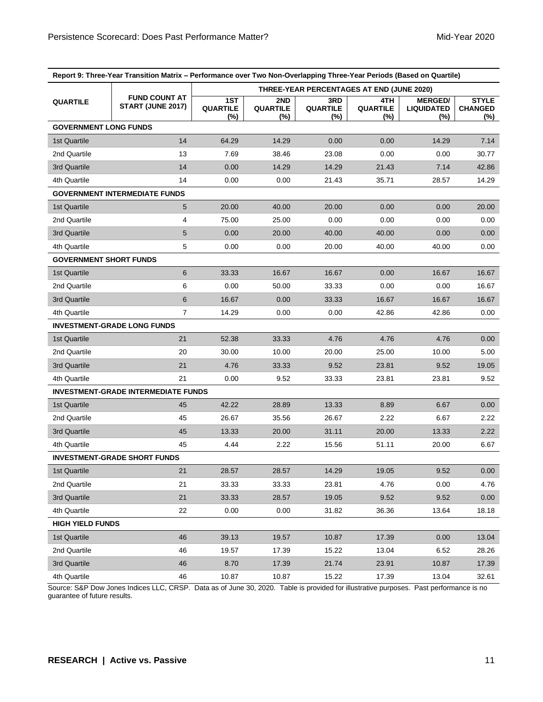| Report 9: Three-Year Transition Matrix - Performance over Two Non-Overlapping Three-Year Periods (Based on Quartile) |                                            |                               |                               |                                           |                                  |                                            |                                          |
|----------------------------------------------------------------------------------------------------------------------|--------------------------------------------|-------------------------------|-------------------------------|-------------------------------------------|----------------------------------|--------------------------------------------|------------------------------------------|
|                                                                                                                      |                                            |                               |                               | THREE-YEAR PERCENTAGES AT END (JUNE 2020) |                                  |                                            |                                          |
| <b>QUARTILE</b>                                                                                                      | <b>FUND COUNT AT</b><br>START (JUNE 2017)  | 1ST<br><b>QUARTILE</b><br>(%) | 2ND<br><b>QUARTILE</b><br>(%) | 3RD<br><b>QUARTILE</b><br>(%)             | 4TH<br><b>QUARTILE</b><br>$(\%)$ | <b>MERGED/</b><br><b>LIQUIDATED</b><br>(%) | <b>STYLE</b><br><b>CHANGED</b><br>$(\%)$ |
| <b>GOVERNMENT LONG FUNDS</b>                                                                                         |                                            |                               |                               |                                           |                                  |                                            |                                          |
| 1st Quartile                                                                                                         | 14                                         | 64.29                         | 14.29                         | 0.00                                      | 0.00                             | 14.29                                      | 7.14                                     |
| 2nd Quartile                                                                                                         | 13                                         | 7.69                          | 38.46                         | 23.08                                     | 0.00                             | 0.00                                       | 30.77                                    |
| 3rd Quartile                                                                                                         | 14                                         | 0.00                          | 14.29                         | 14.29                                     | 21.43                            | 7.14                                       | 42.86                                    |
| 4th Quartile                                                                                                         | 14                                         | 0.00                          | 0.00                          | 21.43                                     | 35.71                            | 28.57                                      | 14.29                                    |
|                                                                                                                      | <b>GOVERNMENT INTERMEDIATE FUNDS</b>       |                               |                               |                                           |                                  |                                            |                                          |
| 1st Quartile                                                                                                         | 5                                          | 20.00                         | 40.00                         | 20.00                                     | 0.00                             | 0.00                                       | 20.00                                    |
| 2nd Quartile                                                                                                         | 4                                          | 75.00                         | 25.00                         | 0.00                                      | 0.00                             | 0.00                                       | 0.00                                     |
| 3rd Quartile                                                                                                         | 5                                          | 0.00                          | 20.00                         | 40.00                                     | 40.00                            | 0.00                                       | 0.00                                     |
| 4th Quartile                                                                                                         | 5                                          | 0.00                          | 0.00                          | 20.00                                     | 40.00                            | 40.00                                      | 0.00                                     |
| <b>GOVERNMENT SHORT FUNDS</b>                                                                                        |                                            |                               |                               |                                           |                                  |                                            |                                          |
| 1st Quartile                                                                                                         | 6                                          | 33.33                         | 16.67                         | 16.67                                     | 0.00                             | 16.67                                      | 16.67                                    |
| 2nd Quartile                                                                                                         | 6                                          | 0.00                          | 50.00                         | 33.33                                     | 0.00                             | 0.00                                       | 16.67                                    |
| 3rd Quartile                                                                                                         | $\,6$                                      | 16.67                         | 0.00                          | 33.33                                     | 16.67                            | 16.67                                      | 16.67                                    |
| 4th Quartile                                                                                                         | $\overline{7}$                             | 14.29                         | 0.00                          | 0.00                                      | 42.86                            | 42.86                                      | 0.00                                     |
|                                                                                                                      | <b>INVESTMENT-GRADE LONG FUNDS</b>         |                               |                               |                                           |                                  |                                            |                                          |
| 1st Quartile                                                                                                         | 21                                         | 52.38                         | 33.33                         | 4.76                                      | 4.76                             | 4.76                                       | 0.00                                     |
| 2nd Quartile                                                                                                         | 20                                         | 30.00                         | 10.00                         | 20.00                                     | 25.00                            | 10.00                                      | 5.00                                     |
| 3rd Quartile                                                                                                         | 21                                         | 4.76                          | 33.33                         | 9.52                                      | 23.81                            | 9.52                                       | 19.05                                    |
| 4th Quartile                                                                                                         | 21                                         | 0.00                          | 9.52                          | 33.33                                     | 23.81                            | 23.81                                      | 9.52                                     |
|                                                                                                                      | <b>INVESTMENT-GRADE INTERMEDIATE FUNDS</b> |                               |                               |                                           |                                  |                                            |                                          |
| 1st Quartile                                                                                                         | 45                                         | 42.22                         | 28.89                         | 13.33                                     | 8.89                             | 6.67                                       | 0.00                                     |
| 2nd Quartile                                                                                                         | 45                                         | 26.67                         | 35.56                         | 26.67                                     | 2.22                             | 6.67                                       | 2.22                                     |
| 3rd Quartile                                                                                                         | 45                                         | 13.33                         | 20.00                         | 31.11                                     | 20.00                            | 13.33                                      | 2.22                                     |
| 4th Quartile                                                                                                         | 45                                         | 4.44                          | 2.22                          | 15.56                                     | 51.11                            | 20.00                                      | 6.67                                     |
|                                                                                                                      | <b>INVESTMENT-GRADE SHORT FUNDS</b>        |                               |                               |                                           |                                  |                                            |                                          |
| 1st Quartile                                                                                                         | 21                                         | 28.57                         | 28.57                         | 14.29                                     | 19.05                            | 9.52                                       | 0.00                                     |
| 2nd Quartile                                                                                                         | 21                                         | 33.33                         | 33.33                         | 23.81                                     | 4.76                             | 0.00                                       | 4.76                                     |
| 3rd Quartile                                                                                                         | 21                                         | 33.33                         | 28.57                         | 19.05                                     | 9.52                             | 9.52                                       | 0.00                                     |
| 4th Quartile                                                                                                         | 22                                         | 0.00                          | 0.00                          | 31.82                                     | 36.36                            | 13.64                                      | 18.18                                    |
| <b>HIGH YIELD FUNDS</b>                                                                                              |                                            |                               |                               |                                           |                                  |                                            |                                          |
| 1st Quartile                                                                                                         | 46                                         | 39.13                         | 19.57                         | 10.87                                     | 17.39                            | 0.00                                       | 13.04                                    |
| 2nd Quartile                                                                                                         | 46                                         | 19.57                         | 17.39                         | 15.22                                     | 13.04                            | 6.52                                       | 28.26                                    |
| 3rd Quartile                                                                                                         | 46                                         | 8.70                          | 17.39                         | 21.74                                     | 23.91                            | 10.87                                      | 17.39                                    |
| 4th Quartile                                                                                                         | 46                                         | 10.87                         | 10.87                         | 15.22                                     | 17.39                            | 13.04                                      | 32.61                                    |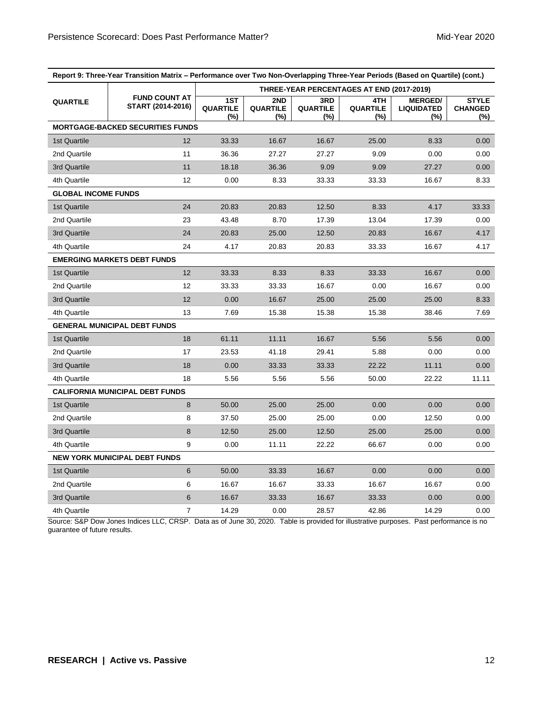| Report 9: Three-Year Transition Matrix – Performance over Two Non-Overlapping Three-Year Periods (Based on Quartile) (cont.) |                                           |                               |                               |                                  |                                           |                                               |                                          |
|------------------------------------------------------------------------------------------------------------------------------|-------------------------------------------|-------------------------------|-------------------------------|----------------------------------|-------------------------------------------|-----------------------------------------------|------------------------------------------|
|                                                                                                                              |                                           |                               |                               |                                  | THREE-YEAR PERCENTAGES AT END (2017-2019) |                                               |                                          |
| <b>QUARTILE</b>                                                                                                              | <b>FUND COUNT AT</b><br>START (2014-2016) | 1ST<br><b>QUARTILE</b><br>(%) | 2ND<br><b>QUARTILE</b><br>(%) | 3RD<br><b>QUARTILE</b><br>$(\%)$ | 4TH<br><b>QUARTILE</b><br>(%)             | <b>MERGED/</b><br><b>LIQUIDATED</b><br>$(\%)$ | <b>STYLE</b><br><b>CHANGED</b><br>$(\%)$ |
|                                                                                                                              | <b>MORTGAGE-BACKED SECURITIES FUNDS</b>   |                               |                               |                                  |                                           |                                               |                                          |
| 1st Quartile                                                                                                                 | 12                                        | 33.33                         | 16.67                         | 16.67                            | 25.00                                     | 8.33                                          | 0.00                                     |
| 2nd Quartile                                                                                                                 | 11                                        | 36.36                         | 27.27                         | 27.27                            | 9.09                                      | 0.00                                          | 0.00                                     |
| 3rd Quartile                                                                                                                 | 11                                        | 18.18                         | 36.36                         | 9.09                             | 9.09                                      | 27.27                                         | 0.00                                     |
| 4th Quartile                                                                                                                 | 12                                        | 0.00                          | 8.33                          | 33.33                            | 33.33                                     | 16.67                                         | 8.33                                     |
| <b>GLOBAL INCOME FUNDS</b>                                                                                                   |                                           |                               |                               |                                  |                                           |                                               |                                          |
| 1st Quartile                                                                                                                 | 24                                        | 20.83                         | 20.83                         | 12.50                            | 8.33                                      | 4.17                                          | 33.33                                    |
| 2nd Quartile                                                                                                                 | 23                                        | 43.48                         | 8.70                          | 17.39                            | 13.04                                     | 17.39                                         | 0.00                                     |
| 3rd Quartile                                                                                                                 | 24                                        | 20.83                         | 25.00                         | 12.50                            | 20.83                                     | 16.67                                         | 4.17                                     |
| 4th Quartile                                                                                                                 | 24                                        | 4.17                          | 20.83                         | 20.83                            | 33.33                                     | 16.67                                         | 4.17                                     |
|                                                                                                                              | <b>EMERGING MARKETS DEBT FUNDS</b>        |                               |                               |                                  |                                           |                                               |                                          |
| 1st Quartile                                                                                                                 | 12                                        | 33.33                         | 8.33                          | 8.33                             | 33.33                                     | 16.67                                         | 0.00                                     |
| 2nd Quartile                                                                                                                 | 12                                        | 33.33                         | 33.33                         | 16.67                            | 0.00                                      | 16.67                                         | 0.00                                     |
| 3rd Quartile                                                                                                                 | 12                                        | 0.00                          | 16.67                         | 25.00                            | 25.00                                     | 25.00                                         | 8.33                                     |
| 4th Quartile                                                                                                                 | 13                                        | 7.69                          | 15.38                         | 15.38                            | 15.38                                     | 38.46                                         | 7.69                                     |
|                                                                                                                              | <b>GENERAL MUNICIPAL DEBT FUNDS</b>       |                               |                               |                                  |                                           |                                               |                                          |
| 1st Quartile                                                                                                                 | 18                                        | 61.11                         | 11.11                         | 16.67                            | 5.56                                      | 5.56                                          | 0.00                                     |
| 2nd Quartile                                                                                                                 | 17                                        | 23.53                         | 41.18                         | 29.41                            | 5.88                                      | 0.00                                          | 0.00                                     |
| 3rd Quartile                                                                                                                 | 18                                        | 0.00                          | 33.33                         | 33.33                            | 22.22                                     | 11.11                                         | 0.00                                     |
| 4th Quartile                                                                                                                 | 18                                        | 5.56                          | 5.56                          | 5.56                             | 50.00                                     | 22.22                                         | 11.11                                    |
|                                                                                                                              | <b>CALIFORNIA MUNICIPAL DEBT FUNDS</b>    |                               |                               |                                  |                                           |                                               |                                          |
| 1st Quartile                                                                                                                 | 8                                         | 50.00                         | 25.00                         | 25.00                            | 0.00                                      | 0.00                                          | 0.00                                     |
| 2nd Quartile                                                                                                                 | 8                                         | 37.50                         | 25.00                         | 25.00                            | 0.00                                      | 12.50                                         | 0.00                                     |
| 3rd Quartile                                                                                                                 | 8                                         | 12.50                         | 25.00                         | 12.50                            | 25.00                                     | 25.00                                         | 0.00                                     |
| 4th Quartile                                                                                                                 | 9                                         | 0.00                          | 11.11                         | 22.22                            | 66.67                                     | 0.00                                          | 0.00                                     |
|                                                                                                                              | <b>NEW YORK MUNICIPAL DEBT FUNDS</b>      |                               |                               |                                  |                                           |                                               |                                          |
| 1st Quartile                                                                                                                 | 6                                         | 50.00                         | 33.33                         | 16.67                            | 0.00                                      | 0.00                                          | 0.00                                     |
| 2nd Quartile                                                                                                                 | 6                                         | 16.67                         | 16.67                         | 33.33                            | 16.67                                     | 16.67                                         | 0.00                                     |
| 3rd Quartile                                                                                                                 | $6\phantom{1}$                            | 16.67                         | 33.33                         | 16.67                            | 33.33                                     | 0.00                                          | 0.00                                     |
| 4th Quartile                                                                                                                 | 7                                         | 14.29                         | 0.00                          | 28.57                            | 42.86                                     | 14.29                                         | 0.00                                     |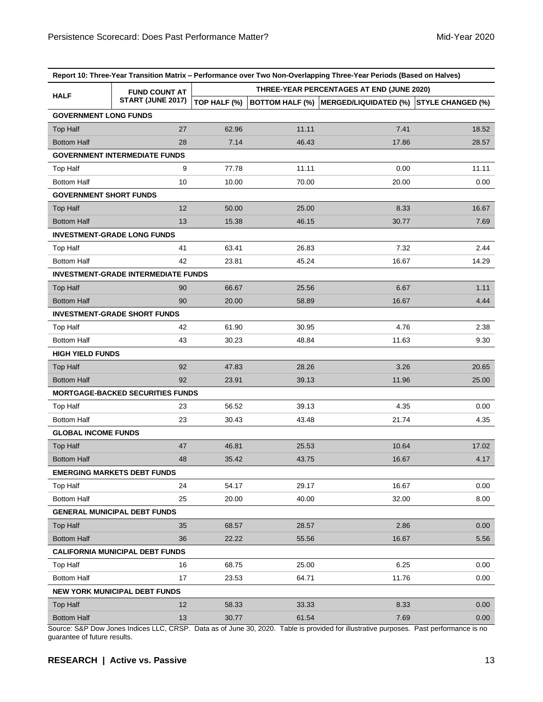| Report 10: Three-Year Transition Matrix - Performance over Two Non-Overlapping Three-Year Periods (Based on Halves) |                                            |                                           |       |                                                         |       |  |  |  |
|---------------------------------------------------------------------------------------------------------------------|--------------------------------------------|-------------------------------------------|-------|---------------------------------------------------------|-------|--|--|--|
| <b>HALF</b>                                                                                                         | <b>FUND COUNT AT</b>                       | THREE-YEAR PERCENTAGES AT END (JUNE 2020) |       |                                                         |       |  |  |  |
|                                                                                                                     | START (JUNE 2017)                          | TOP HALF (%)                              |       | BOTTOM HALF (%) MERGED/LIQUIDATED (%) STYLE CHANGED (%) |       |  |  |  |
| <b>GOVERNMENT LONG FUNDS</b>                                                                                        |                                            |                                           |       |                                                         |       |  |  |  |
| <b>Top Half</b>                                                                                                     | 27                                         | 62.96                                     | 11.11 | 7.41                                                    | 18.52 |  |  |  |
| <b>Bottom Half</b>                                                                                                  | 28                                         | 7.14                                      | 46.43 | 17.86                                                   | 28.57 |  |  |  |
|                                                                                                                     | <b>GOVERNMENT INTERMEDIATE FUNDS</b>       |                                           |       |                                                         |       |  |  |  |
| <b>Top Half</b>                                                                                                     | 9                                          | 77.78                                     | 11.11 | 0.00                                                    | 11.11 |  |  |  |
| <b>Bottom Half</b>                                                                                                  | 10                                         | 10.00                                     | 70.00 | 20.00                                                   | 0.00  |  |  |  |
| <b>GOVERNMENT SHORT FUNDS</b>                                                                                       |                                            |                                           |       |                                                         |       |  |  |  |
| <b>Top Half</b>                                                                                                     | 12                                         | 50.00                                     | 25.00 | 8.33                                                    | 16.67 |  |  |  |
| <b>Bottom Half</b>                                                                                                  | 13                                         | 15.38                                     | 46.15 | 30.77                                                   | 7.69  |  |  |  |
|                                                                                                                     | <b>INVESTMENT-GRADE LONG FUNDS</b>         |                                           |       |                                                         |       |  |  |  |
| <b>Top Half</b>                                                                                                     | 41                                         | 63.41                                     | 26.83 | 7.32                                                    | 2.44  |  |  |  |
| <b>Bottom Half</b>                                                                                                  | 42                                         | 23.81                                     | 45.24 | 16.67                                                   | 14.29 |  |  |  |
|                                                                                                                     | <b>INVESTMENT-GRADE INTERMEDIATE FUNDS</b> |                                           |       |                                                         |       |  |  |  |
| <b>Top Half</b>                                                                                                     | 90                                         | 66.67                                     | 25.56 | 6.67                                                    | 1.11  |  |  |  |
| <b>Bottom Half</b>                                                                                                  | 90                                         | 20.00                                     | 58.89 | 16.67                                                   | 4.44  |  |  |  |
|                                                                                                                     | <b>INVESTMENT-GRADE SHORT FUNDS</b>        |                                           |       |                                                         |       |  |  |  |
| <b>Top Half</b>                                                                                                     | 42                                         | 61.90                                     | 30.95 | 4.76                                                    | 2.38  |  |  |  |
| <b>Bottom Half</b>                                                                                                  | 43                                         | 30.23                                     | 48.84 | 11.63                                                   | 9.30  |  |  |  |
| <b>HIGH YIELD FUNDS</b>                                                                                             |                                            |                                           |       |                                                         |       |  |  |  |
| <b>Top Half</b>                                                                                                     | 92                                         | 47.83                                     | 28.26 | 3.26                                                    | 20.65 |  |  |  |
| <b>Bottom Half</b>                                                                                                  | 92                                         | 23.91                                     | 39.13 | 11.96                                                   | 25.00 |  |  |  |
|                                                                                                                     | <b>MORTGAGE-BACKED SECURITIES FUNDS</b>    |                                           |       |                                                         |       |  |  |  |
| Top Half                                                                                                            | 23                                         | 56.52                                     | 39.13 | 4.35                                                    | 0.00  |  |  |  |
| <b>Bottom Half</b>                                                                                                  | 23                                         | 30.43                                     | 43.48 | 21.74                                                   | 4.35  |  |  |  |
| <b>GLOBAL INCOME FUNDS</b>                                                                                          |                                            |                                           |       |                                                         |       |  |  |  |
| <b>Top Half</b>                                                                                                     | 47                                         | 46.81                                     | 25.53 | 10.64                                                   | 17.02 |  |  |  |
| <b>Bottom Half</b>                                                                                                  | 48                                         | 35.42                                     | 43.75 | 16.67                                                   | 4.17  |  |  |  |
| <b>EMERGING MARKETS DEBT FUNDS</b>                                                                                  |                                            |                                           |       |                                                         |       |  |  |  |
| <b>Top Half</b>                                                                                                     | 24                                         | 54.17                                     | 29.17 | 16.67                                                   | 0.00  |  |  |  |
| <b>Bottom Half</b>                                                                                                  | 25                                         | 20.00                                     | 40.00 | 32.00                                                   | 8.00  |  |  |  |
| <b>GENERAL MUNICIPAL DEBT FUNDS</b>                                                                                 |                                            |                                           |       |                                                         |       |  |  |  |
| Top Half                                                                                                            | 35                                         | 68.57                                     | 28.57 | 2.86                                                    | 0.00  |  |  |  |
| <b>Bottom Half</b>                                                                                                  | 36                                         | 22.22                                     | 55.56 | 16.67                                                   | 5.56  |  |  |  |
| <b>CALIFORNIA MUNICIPAL DEBT FUNDS</b>                                                                              |                                            |                                           |       |                                                         |       |  |  |  |
| <b>Top Half</b>                                                                                                     | 16                                         | 68.75                                     | 25.00 | 6.25                                                    | 0.00  |  |  |  |
| <b>Bottom Half</b>                                                                                                  | 17                                         | 23.53                                     | 64.71 | 11.76                                                   | 0.00  |  |  |  |
| NEW YORK MUNICIPAL DEBT FUNDS                                                                                       |                                            |                                           |       |                                                         |       |  |  |  |
| Top Half                                                                                                            | 12                                         | 58.33                                     | 33.33 | 8.33                                                    | 0.00  |  |  |  |
| <b>Bottom Half</b>                                                                                                  | 13                                         | 30.77                                     | 61.54 | 7.69                                                    | 0.00  |  |  |  |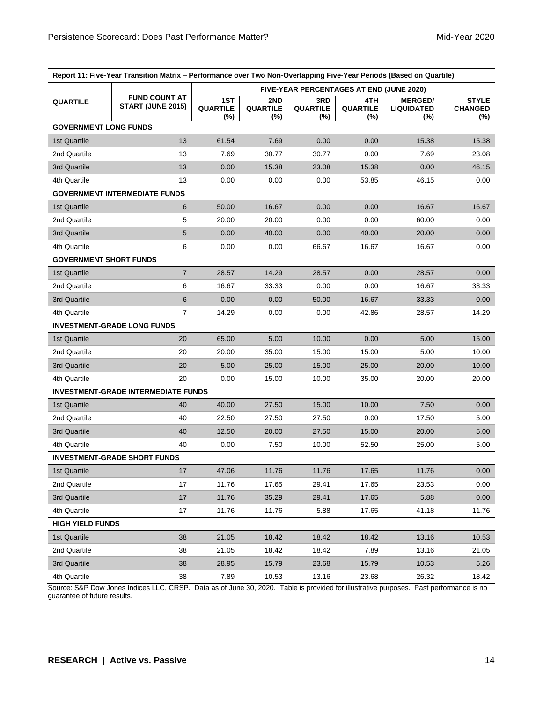| Report 11: Five-Year Transition Matrix - Performance over Two Non-Overlapping Five-Year Periods (Based on Quartile) |                                            |                                          |                                  |                                  |                                  |                                            |                                       |  |
|---------------------------------------------------------------------------------------------------------------------|--------------------------------------------|------------------------------------------|----------------------------------|----------------------------------|----------------------------------|--------------------------------------------|---------------------------------------|--|
|                                                                                                                     | <b>FUND COUNT AT</b><br>START (JUNE 2015)  | FIVE-YEAR PERCENTAGES AT END (JUNE 2020) |                                  |                                  |                                  |                                            |                                       |  |
| <b>QUARTILE</b>                                                                                                     |                                            | 1ST<br>QUARTILE<br>$(\%)$                | 2ND<br><b>QUARTILE</b><br>$(\%)$ | 3RD<br><b>QUARTILE</b><br>$(\%)$ | 4TH<br><b>QUARTILE</b><br>$(\%)$ | <b>MERGED/</b><br><b>LIQUIDATED</b><br>(%) | <b>STYLE</b><br><b>CHANGED</b><br>(%) |  |
| <b>GOVERNMENT LONG FUNDS</b>                                                                                        |                                            |                                          |                                  |                                  |                                  |                                            |                                       |  |
| 1st Quartile                                                                                                        | 13                                         | 61.54                                    | 7.69                             | 0.00                             | 0.00                             | 15.38                                      | 15.38                                 |  |
| 2nd Quartile                                                                                                        | 13                                         | 7.69                                     | 30.77                            | 30.77                            | 0.00                             | 7.69                                       | 23.08                                 |  |
| 3rd Quartile                                                                                                        | 13                                         | 0.00                                     | 15.38                            | 23.08                            | 15.38                            | 0.00                                       | 46.15                                 |  |
| 4th Quartile                                                                                                        | 13                                         | 0.00                                     | 0.00                             | 0.00                             | 53.85                            | 46.15                                      | 0.00                                  |  |
|                                                                                                                     | <b>GOVERNMENT INTERMEDIATE FUNDS</b>       |                                          |                                  |                                  |                                  |                                            |                                       |  |
| 1st Quartile                                                                                                        | 6                                          | 50.00                                    | 16.67                            | 0.00                             | 0.00                             | 16.67                                      | 16.67                                 |  |
| 2nd Quartile                                                                                                        | 5                                          | 20.00                                    | 20.00                            | 0.00                             | 0.00                             | 60.00                                      | 0.00                                  |  |
| 3rd Quartile                                                                                                        | 5                                          | 0.00                                     | 40.00                            | 0.00                             | 40.00                            | 20.00                                      | 0.00                                  |  |
| 4th Quartile                                                                                                        | 6                                          | 0.00                                     | 0.00                             | 66.67                            | 16.67                            | 16.67                                      | 0.00                                  |  |
| <b>GOVERNMENT SHORT FUNDS</b>                                                                                       |                                            |                                          |                                  |                                  |                                  |                                            |                                       |  |
| 1st Quartile                                                                                                        | $\overline{7}$                             | 28.57                                    | 14.29                            | 28.57                            | 0.00                             | 28.57                                      | 0.00                                  |  |
| 2nd Quartile                                                                                                        | 6                                          | 16.67                                    | 33.33                            | 0.00                             | 0.00                             | 16.67                                      | 33.33                                 |  |
| 3rd Quartile                                                                                                        | 6                                          | 0.00                                     | 0.00                             | 50.00                            | 16.67                            | 33.33                                      | 0.00                                  |  |
| 4th Quartile                                                                                                        | $\overline{7}$                             | 14.29                                    | 0.00                             | 0.00                             | 42.86                            | 28.57                                      | 14.29                                 |  |
|                                                                                                                     | <b>INVESTMENT-GRADE LONG FUNDS</b>         |                                          |                                  |                                  |                                  |                                            |                                       |  |
| 1st Quartile                                                                                                        | 20                                         | 65.00                                    | 5.00                             | 10.00                            | 0.00                             | 5.00                                       | 15.00                                 |  |
| 2nd Quartile                                                                                                        | 20                                         | 20.00                                    | 35.00                            | 15.00                            | 15.00                            | 5.00                                       | 10.00                                 |  |
| 3rd Quartile                                                                                                        | 20                                         | 5.00                                     | 25.00                            | 15.00                            | 25.00                            | 20.00                                      | 10.00                                 |  |
| 4th Quartile                                                                                                        | 20                                         | 0.00                                     | 15.00                            | 10.00                            | 35.00                            | 20.00                                      | 20.00                                 |  |
|                                                                                                                     | <b>INVESTMENT-GRADE INTERMEDIATE FUNDS</b> |                                          |                                  |                                  |                                  |                                            |                                       |  |
| 1st Quartile                                                                                                        | 40                                         | 40.00                                    | 27.50                            | 15.00                            | 10.00                            | 7.50                                       | 0.00                                  |  |
| 2nd Quartile                                                                                                        | 40                                         | 22.50                                    | 27.50                            | 27.50                            | 0.00                             | 17.50                                      | 5.00                                  |  |
| 3rd Quartile                                                                                                        | 40                                         | 12.50                                    | 20.00                            | 27.50                            | 15.00                            | 20.00                                      | 5.00                                  |  |
| 4th Quartile                                                                                                        | 40                                         | 0.00                                     | 7.50                             | 10.00                            | 52.50                            | 25.00                                      | 5.00                                  |  |
| <b>INVESTMENT-GRADE SHORT FUNDS</b>                                                                                 |                                            |                                          |                                  |                                  |                                  |                                            |                                       |  |
| 1st Quartile                                                                                                        | $17$                                       | 47.06                                    | 11.76                            | 11.76                            | 17.65                            | 11.76                                      | 0.00                                  |  |
| 2nd Quartile                                                                                                        | 17                                         | 11.76                                    | 17.65                            | 29.41                            | 17.65                            | 23.53                                      | 0.00                                  |  |
| 3rd Quartile                                                                                                        | 17                                         | 11.76                                    | 35.29                            | 29.41                            | 17.65                            | 5.88                                       | 0.00                                  |  |
| 4th Quartile                                                                                                        | 17                                         | 11.76                                    | 11.76                            | 5.88                             | 17.65                            | 41.18                                      | 11.76                                 |  |
| <b>HIGH YIELD FUNDS</b>                                                                                             |                                            |                                          |                                  |                                  |                                  |                                            |                                       |  |
| 1st Quartile                                                                                                        | 38                                         | 21.05                                    | 18.42                            | 18.42                            | 18.42                            | 13.16                                      | 10.53                                 |  |
| 2nd Quartile                                                                                                        | 38                                         | 21.05                                    | 18.42                            | 18.42                            | 7.89                             | 13.16                                      | 21.05                                 |  |
| 3rd Quartile                                                                                                        | 38                                         | 28.95                                    | 15.79                            | 23.68                            | 15.79                            | 10.53                                      | 5.26                                  |  |
| 4th Quartile                                                                                                        | 38                                         | 7.89                                     | 10.53                            | 13.16                            | 23.68                            | 26.32                                      | 18.42                                 |  |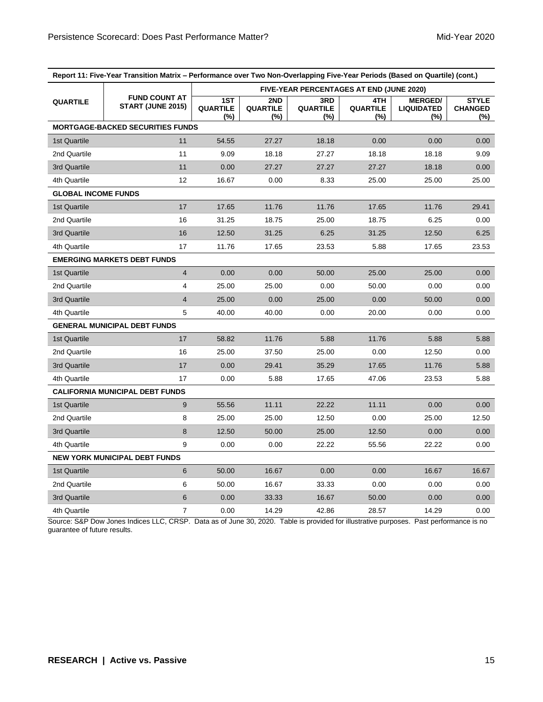| Report 11: Five-Year Transition Matrix - Performance over Two Non-Overlapping Five-Year Periods (Based on Quartile) (cont.) |                                           |                                                 |                               |                                  |                               |                                               |                                       |
|-----------------------------------------------------------------------------------------------------------------------------|-------------------------------------------|-------------------------------------------------|-------------------------------|----------------------------------|-------------------------------|-----------------------------------------------|---------------------------------------|
|                                                                                                                             | <b>FUND COUNT AT</b><br>START (JUNE 2015) | <b>FIVE-YEAR PERCENTAGES AT END (JUNE 2020)</b> |                               |                                  |                               |                                               |                                       |
| <b>QUARTILE</b>                                                                                                             |                                           | 1ST<br><b>QUARTILE</b><br>(%)                   | 2ND<br><b>QUARTILE</b><br>(%) | 3RD<br><b>QUARTILE</b><br>$(\%)$ | 4TH<br><b>QUARTILE</b><br>(%) | <b>MERGED/</b><br><b>LIQUIDATED</b><br>$(\%)$ | <b>STYLE</b><br><b>CHANGED</b><br>(%) |
|                                                                                                                             | <b>MORTGAGE-BACKED SECURITIES FUNDS</b>   |                                                 |                               |                                  |                               |                                               |                                       |
| 1st Quartile                                                                                                                | 11                                        | 54.55                                           | 27.27                         | 18.18                            | 0.00                          | 0.00                                          | 0.00                                  |
| 2nd Quartile                                                                                                                | 11                                        | 9.09                                            | 18.18                         | 27.27                            | 18.18                         | 18.18                                         | 9.09                                  |
| 3rd Quartile                                                                                                                | 11                                        | 0.00                                            | 27.27                         | 27.27                            | 27.27                         | 18.18                                         | 0.00                                  |
| 4th Quartile                                                                                                                | 12                                        | 16.67                                           | 0.00                          | 8.33                             | 25.00                         | 25.00                                         | 25.00                                 |
| <b>GLOBAL INCOME FUNDS</b>                                                                                                  |                                           |                                                 |                               |                                  |                               |                                               |                                       |
| 1st Quartile                                                                                                                | 17                                        | 17.65                                           | 11.76                         | 11.76                            | 17.65                         | 11.76                                         | 29.41                                 |
| 2nd Quartile                                                                                                                | 16                                        | 31.25                                           | 18.75                         | 25.00                            | 18.75                         | 6.25                                          | 0.00                                  |
| 3rd Quartile                                                                                                                | 16                                        | 12.50                                           | 31.25                         | 6.25                             | 31.25                         | 12.50                                         | 6.25                                  |
| 4th Quartile                                                                                                                | 17                                        | 11.76                                           | 17.65                         | 23.53                            | 5.88                          | 17.65                                         | 23.53                                 |
| <b>EMERGING MARKETS DEBT FUNDS</b>                                                                                          |                                           |                                                 |                               |                                  |                               |                                               |                                       |
| 1st Quartile                                                                                                                | $\overline{4}$                            | 0.00                                            | 0.00                          | 50.00                            | 25.00                         | 25.00                                         | 0.00                                  |
| 2nd Quartile                                                                                                                | 4                                         | 25.00                                           | 25.00                         | 0.00                             | 50.00                         | 0.00                                          | 0.00                                  |
| 3rd Quartile                                                                                                                | $\overline{\mathbf{4}}$                   | 25.00                                           | 0.00                          | 25.00                            | 0.00                          | 50.00                                         | 0.00                                  |
| 4th Quartile                                                                                                                | 5                                         | 40.00                                           | 40.00                         | 0.00                             | 20.00                         | 0.00                                          | 0.00                                  |
|                                                                                                                             | <b>GENERAL MUNICIPAL DEBT FUNDS</b>       |                                                 |                               |                                  |                               |                                               |                                       |
| 1st Quartile                                                                                                                | 17                                        | 58.82                                           | 11.76                         | 5.88                             | 11.76                         | 5.88                                          | 5.88                                  |
| 2nd Quartile                                                                                                                | 16                                        | 25.00                                           | 37.50                         | 25.00                            | 0.00                          | 12.50                                         | 0.00                                  |
| 3rd Quartile                                                                                                                | 17                                        | 0.00                                            | 29.41                         | 35.29                            | 17.65                         | 11.76                                         | 5.88                                  |
| 4th Quartile                                                                                                                | 17                                        | 0.00                                            | 5.88                          | 17.65                            | 47.06                         | 23.53                                         | 5.88                                  |
| <b>CALIFORNIA MUNICIPAL DEBT FUNDS</b>                                                                                      |                                           |                                                 |                               |                                  |                               |                                               |                                       |
| 1st Quartile                                                                                                                | 9                                         | 55.56                                           | 11.11                         | 22.22                            | 11.11                         | 0.00                                          | 0.00                                  |
| 2nd Quartile                                                                                                                | 8                                         | 25.00                                           | 25.00                         | 12.50                            | 0.00                          | 25.00                                         | 12.50                                 |
| 3rd Quartile                                                                                                                | 8                                         | 12.50                                           | 50.00                         | 25.00                            | 12.50                         | 0.00                                          | 0.00                                  |
| 4th Quartile                                                                                                                | 9                                         | 0.00                                            | 0.00                          | 22.22                            | 55.56                         | 22.22                                         | 0.00                                  |
| <b>NEW YORK MUNICIPAL DEBT FUNDS</b>                                                                                        |                                           |                                                 |                               |                                  |                               |                                               |                                       |
| 1st Quartile                                                                                                                | 6                                         | 50.00                                           | 16.67                         | 0.00                             | 0.00                          | 16.67                                         | 16.67                                 |
| 2nd Quartile                                                                                                                | 6                                         | 50.00                                           | 16.67                         | 33.33                            | 0.00                          | 0.00                                          | 0.00                                  |
| 3rd Quartile                                                                                                                | 6                                         | 0.00                                            | 33.33                         | 16.67                            | 50.00                         | 0.00                                          | 0.00                                  |
| 4th Quartile                                                                                                                | $\overline{7}$                            | 0.00                                            | 14.29                         | 42.86                            | 28.57                         | 14.29                                         | 0.00                                  |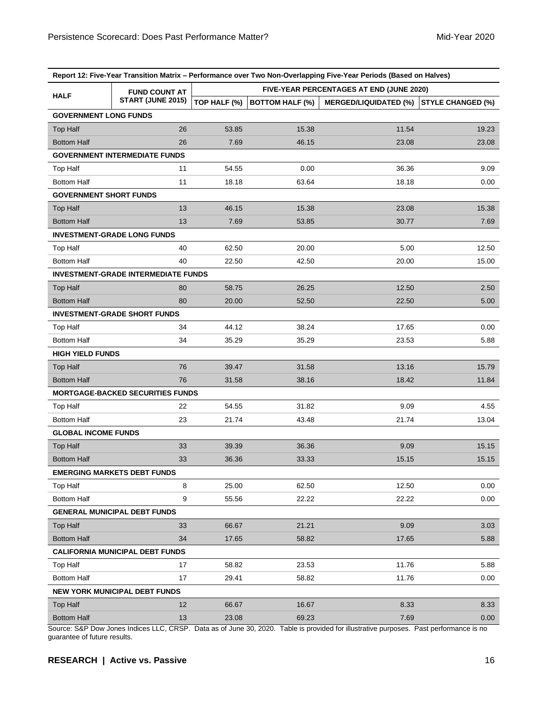| Report 12: Five-Year Transition Matrix - Performance over Two Non-Overlapping Five-Year Periods (Based on Halves) |                                            |                                          |                        |                              |                          |  |  |  |
|-------------------------------------------------------------------------------------------------------------------|--------------------------------------------|------------------------------------------|------------------------|------------------------------|--------------------------|--|--|--|
| <b>HALF</b>                                                                                                       | <b>FUND COUNT AT</b><br>START (JUNE 2015)  | FIVE-YEAR PERCENTAGES AT END (JUNE 2020) |                        |                              |                          |  |  |  |
|                                                                                                                   |                                            | TOP HALF (%)                             | <b>BOTTOM HALF (%)</b> | <b>MERGED/LIQUIDATED (%)</b> | <b>STYLE CHANGED (%)</b> |  |  |  |
| <b>GOVERNMENT LONG FUNDS</b>                                                                                      |                                            |                                          |                        |                              |                          |  |  |  |
| <b>Top Half</b>                                                                                                   | 26                                         | 53.85                                    | 15.38                  | 11.54                        | 19.23                    |  |  |  |
| <b>Bottom Half</b>                                                                                                | 26                                         | 7.69                                     | 46.15                  | 23.08                        | 23.08                    |  |  |  |
|                                                                                                                   | <b>GOVERNMENT INTERMEDIATE FUNDS</b>       |                                          |                        |                              |                          |  |  |  |
| <b>Top Half</b>                                                                                                   | 11                                         | 54.55                                    | 0.00                   | 36.36                        | 9.09                     |  |  |  |
| <b>Bottom Half</b>                                                                                                | 11                                         | 18.18                                    | 63.64                  | 18.18                        | 0.00                     |  |  |  |
| <b>GOVERNMENT SHORT FUNDS</b>                                                                                     |                                            |                                          |                        |                              |                          |  |  |  |
| <b>Top Half</b>                                                                                                   | 13                                         | 46.15                                    | 15.38                  | 23.08                        | 15.38                    |  |  |  |
| <b>Bottom Half</b>                                                                                                | 13                                         | 7.69                                     | 53.85                  | 30.77                        | 7.69                     |  |  |  |
|                                                                                                                   | <b>INVESTMENT-GRADE LONG FUNDS</b>         |                                          |                        |                              |                          |  |  |  |
| Top Half                                                                                                          | 40                                         | 62.50                                    | 20.00                  | 5.00                         | 12.50                    |  |  |  |
| <b>Bottom Half</b>                                                                                                | 40                                         | 22.50                                    | 42.50                  | 20.00                        | 15.00                    |  |  |  |
|                                                                                                                   | <b>INVESTMENT-GRADE INTERMEDIATE FUNDS</b> |                                          |                        |                              |                          |  |  |  |
| <b>Top Half</b>                                                                                                   | 80                                         | 58.75                                    | 26.25                  | 12.50                        | 2.50                     |  |  |  |
| <b>Bottom Half</b>                                                                                                | 80                                         | 20.00                                    | 52.50                  | 22.50                        | 5.00                     |  |  |  |
|                                                                                                                   | <b>INVESTMENT-GRADE SHORT FUNDS</b>        |                                          |                        |                              |                          |  |  |  |
| <b>Top Half</b>                                                                                                   | 34                                         | 44.12                                    | 38.24                  | 17.65                        | 0.00                     |  |  |  |
| <b>Bottom Half</b>                                                                                                | 34                                         | 35.29                                    | 35.29                  | 23.53                        | 5.88                     |  |  |  |
| <b>HIGH YIELD FUNDS</b>                                                                                           |                                            |                                          |                        |                              |                          |  |  |  |
| <b>Top Half</b>                                                                                                   | 76                                         | 39.47                                    | 31.58                  | 13.16                        | 15.79                    |  |  |  |
| <b>Bottom Half</b>                                                                                                | 76                                         | 31.58                                    | 38.16                  | 18.42                        | 11.84                    |  |  |  |
|                                                                                                                   | <b>MORTGAGE-BACKED SECURITIES FUNDS</b>    |                                          |                        |                              |                          |  |  |  |
| <b>Top Half</b>                                                                                                   | 22                                         | 54.55                                    | 31.82                  | 9.09                         | 4.55                     |  |  |  |
| <b>Bottom Half</b>                                                                                                | 23                                         | 21.74                                    | 43.48                  | 21.74                        | 13.04                    |  |  |  |
| <b>GLOBAL INCOME FUNDS</b>                                                                                        |                                            |                                          |                        |                              |                          |  |  |  |
| <b>Top Half</b>                                                                                                   | 33                                         | 39.39                                    | 36.36                  | 9.09                         | 15.15                    |  |  |  |
| <b>Bottom Half</b>                                                                                                | 33                                         | 36.36                                    | 33.33                  | 15.15                        | 15.15                    |  |  |  |
| <b>EMERGING MARKETS DEBT FUNDS</b>                                                                                |                                            |                                          |                        |                              |                          |  |  |  |
| Top Half                                                                                                          | 8                                          | 25.00                                    | 62.50                  | 12.50                        | 0.00                     |  |  |  |
| <b>Bottom Half</b>                                                                                                | 9                                          | 55.56                                    | 22.22                  | 22.22                        | 0.00                     |  |  |  |
| <b>GENERAL MUNICIPAL DEBT FUNDS</b>                                                                               |                                            |                                          |                        |                              |                          |  |  |  |
| <b>Top Half</b>                                                                                                   | 33                                         | 66.67                                    | 21.21                  | 9.09                         | 3.03                     |  |  |  |
| <b>Bottom Half</b>                                                                                                | 34                                         | 17.65                                    | 58.82                  | 17.65                        | 5.88                     |  |  |  |
| <b>CALIFORNIA MUNICIPAL DEBT FUNDS</b>                                                                            |                                            |                                          |                        |                              |                          |  |  |  |
| <b>Top Half</b>                                                                                                   | 17                                         | 58.82                                    | 23.53                  | 11.76                        | 5.88                     |  |  |  |
| <b>Bottom Half</b>                                                                                                | 17                                         | 29.41                                    | 58.82                  | 11.76                        | 0.00                     |  |  |  |
| <b>NEW YORK MUNICIPAL DEBT FUNDS</b>                                                                              |                                            |                                          |                        |                              |                          |  |  |  |
| <b>Top Half</b>                                                                                                   | 12                                         | 66.67                                    | 16.67                  | 8.33                         | 8.33                     |  |  |  |
| <b>Bottom Half</b>                                                                                                | 13                                         | 23.08                                    | 69.23                  | 7.69                         | 0.00                     |  |  |  |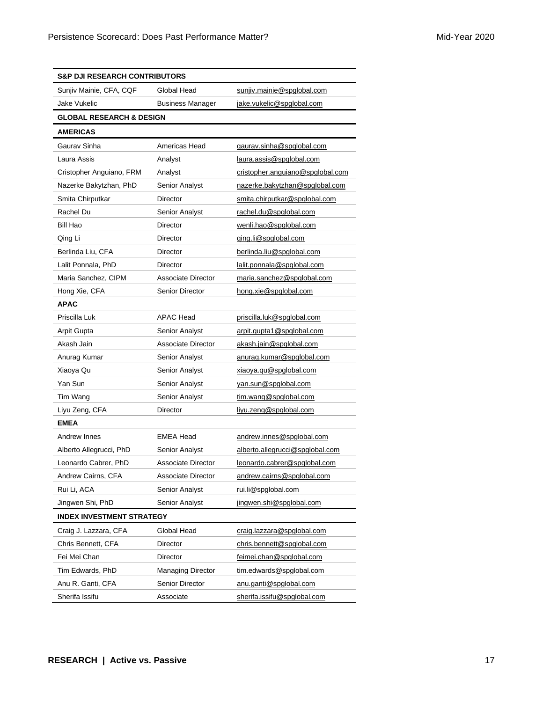| <b>S&amp;P DJI RESEARCH CONTRIBUTORS</b> |                          |                                  |  |  |  |  |
|------------------------------------------|--------------------------|----------------------------------|--|--|--|--|
| Sunjiv Mainie, CFA, CQF                  | Global Head              | sunjiv.mainie@spglobal.com       |  |  |  |  |
| Jake Vukelic                             | <b>Business Manager</b>  | jake.vukelic@spglobal.com        |  |  |  |  |
| <b>GLOBAL RESEARCH &amp; DESIGN</b>      |                          |                                  |  |  |  |  |
| <b>AMERICAS</b>                          |                          |                                  |  |  |  |  |
| Gaurav Sinha                             | Americas Head            | gaurav.sinha@spglobal.com        |  |  |  |  |
| Laura Assis                              | Analyst                  | laura.assis@spglobal.com         |  |  |  |  |
| Cristopher Anguiano, FRM                 | Analyst                  | cristopher.anguiano@spglobal.com |  |  |  |  |
| Nazerke Bakytzhan, PhD                   | Senior Analyst           | nazerke.bakytzhan@spglobal.com   |  |  |  |  |
| Smita Chirputkar                         | Director                 | smita.chirputkar@spglobal.com    |  |  |  |  |
| Rachel Du                                | Senior Analyst           | rachel.du@spglobal.com           |  |  |  |  |
| Bill Hao                                 | <b>Director</b>          | wenli.hao@spglobal.com           |  |  |  |  |
| Qing Li                                  | Director                 | ging.li@spglobal.com             |  |  |  |  |
| Berlinda Liu, CFA                        | Director                 | berlinda.liu@spglobal.com        |  |  |  |  |
| Lalit Ponnala, PhD                       | Director                 | lalit.ponnala@spglobal.com       |  |  |  |  |
| Maria Sanchez, CIPM                      | Associate Director       | maria.sanchez@spglobal.com       |  |  |  |  |
| Hong Xie, CFA                            | <b>Senior Director</b>   | hong.xie@spglobal.com            |  |  |  |  |
| <b>APAC</b>                              |                          |                                  |  |  |  |  |
| Priscilla Luk                            | <b>APAC Head</b>         | priscilla.luk@spglobal.com       |  |  |  |  |
| <b>Arpit Gupta</b>                       | Senior Analyst           | arpit.gupta1@spglobal.com        |  |  |  |  |
| Akash Jain                               | Associate Director       | akash.jain@spglobal.com          |  |  |  |  |
| Anurag Kumar                             | Senior Analyst           | anurag.kumar@spglobal.com        |  |  |  |  |
| Xiaoya Qu                                | Senior Analyst           | xiaoya.qu@spglobal.com           |  |  |  |  |
| Yan Sun                                  | Senior Analyst           | yan.sun@spglobal.com             |  |  |  |  |
| Tim Wang                                 | Senior Analyst           | tim.wang@spglobal.com            |  |  |  |  |
| Liyu Zeng, CFA                           | Director                 | liyu.zeng@spglobal.com           |  |  |  |  |
| <b>EMEA</b>                              |                          |                                  |  |  |  |  |
| Andrew Innes                             | <b>EMEA Head</b>         | andrew.innes@spglobal.com        |  |  |  |  |
| Alberto Allegrucci, PhD                  | Senior Analyst           | alberto.allegrucci@spglobal.com  |  |  |  |  |
| Leonardo Cabrer, PhD                     | Associate Director       | leonardo.cabrer@spglobal.com     |  |  |  |  |
| Andrew Cairns, CFA                       | Associate Director       | andrew.cairns@spglobal.com       |  |  |  |  |
| Rui Li, ACA                              | Senior Analyst           | rui.li@spglobal.com              |  |  |  |  |
| Jingwen Shi, PhD                         | Senior Analyst           | jingwen.shi@spglobal.com         |  |  |  |  |
| <b>INDEX INVESTMENT STRATEGY</b>         |                          |                                  |  |  |  |  |
| Craig J. Lazzara, CFA                    | Global Head              | craig.lazzara@spglobal.com       |  |  |  |  |
| Chris Bennett, CFA                       | Director                 | chris.bennett@spglobal.com       |  |  |  |  |
| Fei Mei Chan                             | <b>Director</b>          | feimei.chan@spglobal.com         |  |  |  |  |
| Tim Edwards, PhD                         | <b>Managing Director</b> | tim.edwards@spglobal.com         |  |  |  |  |
| Anu R. Ganti, CFA                        | Senior Director          | anu.ganti@spglobal.com           |  |  |  |  |
| Sherifa Issifu                           | Associate                | sherifa.issifu@spglobal.com      |  |  |  |  |